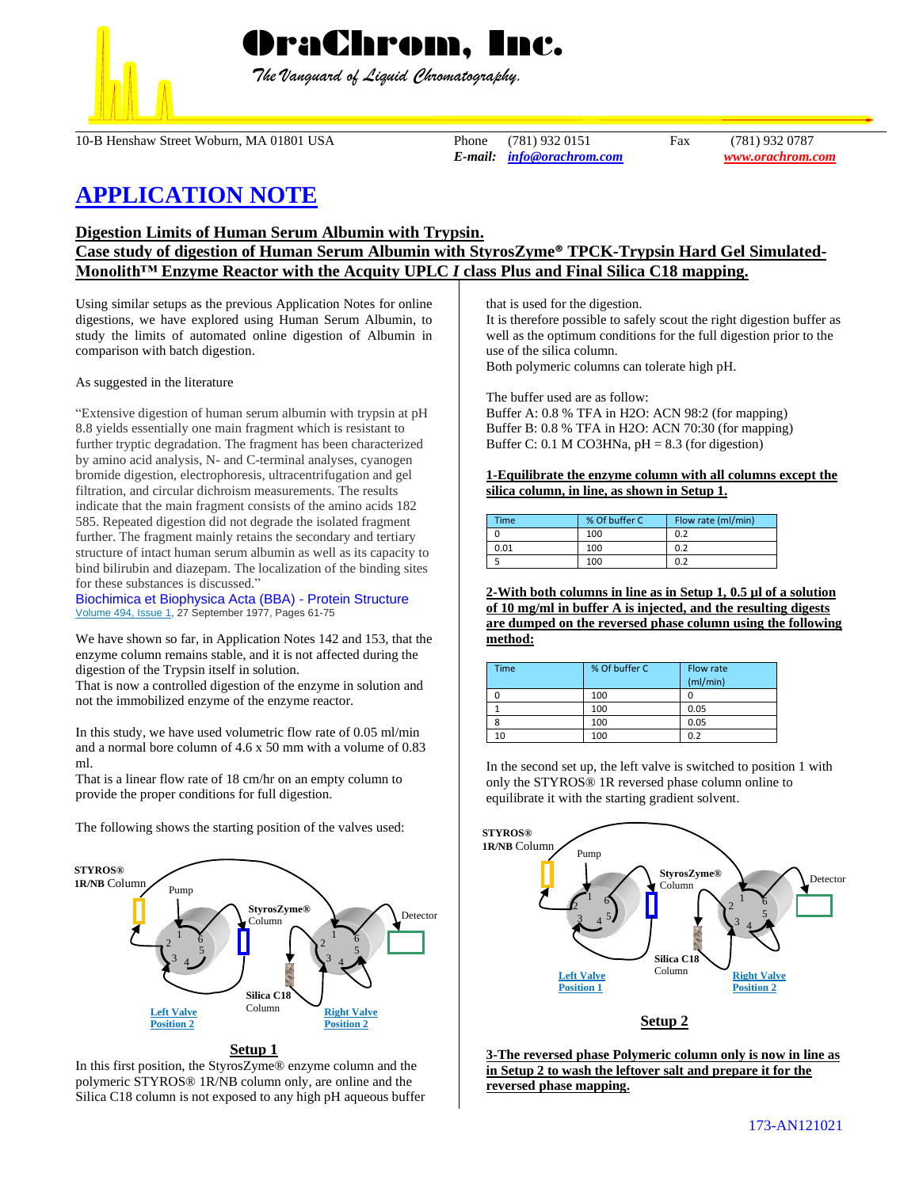

 *The Vanguard of Liquid Chromatography.*

10-B Henshaw Street Woburn, MA 01801 USA Phone (781) 932 0151 Fax (781) 932 0787

*E-mail: [info@orachrom.com](mailto:info@orachrom.com) www.orachrom.com*

# **APPLICATION NOTE**

**Digestion Limits of Human Serum Albumin with Trypsin.** 

## **Case study of digestion of Human Serum Albumin with StyrosZyme® TPCK-Trypsin Hard Gel Simulated-Monolith™ Enzyme Reactor with the Acquity UPLC** *I* **class Plus and Final Silica C18 mapping.**

Using similar setups as the previous Application Notes for online digestions, we have explored using Human Serum Albumin, to study the limits of automated online digestion of Albumin in comparison with batch digestion.

As suggested in the literature

"Extensive digestion of human serum albumin with trypsin at pH 8.8 yields essentially one main fragment which is resistant to further tryptic degradation. The fragment has been characterized by amino acid analysis, N- and C-terminal analyses, cyanogen bromide digestion, electrophoresis, ultracentrifugation and gel filtration, and circular dichroism measurements. The results indicate that the main fragment consists of the amino acids 182 585. Repeated digestion did not degrade the isolated fragment further. The fragment mainly retains the secondary and tertiary structure of intact human serum albumin as well as its capacity to bind bilirubin and diazepam. The localization of the binding sites for these substances is discussed."

[Biochimica et Biophysica Acta \(BBA\) -](https://www.sciencedirect.com/journal/biochimica-et-biophysica-acta-bba-protein-structure) Protein Structure [Volume 494, Issue 1,](https://www.sciencedirect.com/science/journal/00052795/494/1) 27 September 1977, Pages 61-75

We have shown so far, in Application Notes 142 and 153, that the enzyme column remains stable, and it is not affected during the digestion of the Trypsin itself in solution.

That is now a controlled digestion of the enzyme in solution and not the immobilized enzyme of the enzyme reactor.

In this study, we have used volumetric flow rate of 0.05 ml/min and a normal bore column of 4.6 x 50 mm with a volume of 0.83 ml.

That is a linear flow rate of 18 cm/hr on an empty column to provide the proper conditions for full digestion.

The following shows the starting position of the valves used:



In this first position, the StyrosZyme® enzyme column and the polymeric STYROS® 1R/NB column only, are online and the Silica C18 column is not exposed to any high pH aqueous buffer that is used for the digestion.

It is therefore possible to safely scout the right digestion buffer as well as the optimum conditions for the full digestion prior to the use of the silica column.

Both polymeric columns can tolerate high pH.

The buffer used are as follow:

Buffer A: 0.8 % TFA in H2O: ACN 98:2 (for mapping) Buffer B: 0.8 % TFA in H2O: ACN 70:30 (for mapping) Buffer C: 0.1 M CO3HNa,  $pH = 8.3$  (for digestion)

**1-Equilibrate the enzyme column with all columns except the silica column, in line, as shown in Setup 1.**

| <b>Time</b> | % Of buffer C | Flow rate (ml/min) |
|-------------|---------------|--------------------|
|             | 100           | 0.2                |
| 0.01        | 100           | 0.2                |
|             | 100           | 0.2                |

**2-With both columns in line as in Setup 1, 0.5 µl of a solution of 10 mg/ml in buffer A is injected, and the resulting digests are dumped on the reversed phase column using the following method:**

| Time | % Of buffer C | Flow rate<br>(mI/min) |
|------|---------------|-----------------------|
|      | 100           |                       |
|      | 100           | 0.05                  |
|      | 100           | 0.05                  |
| 10   | 100           | 0.2                   |

In the second set up, the left valve is switched to position 1 with only the STYROS® 1R reversed phase column online to equilibrate it with the starting gradient solvent.



**Setup 2**

**3-The reversed phase Polymeric column only is now in line as in Setup 2 to wash the leftover salt and prepare it for the reversed phase mapping.**